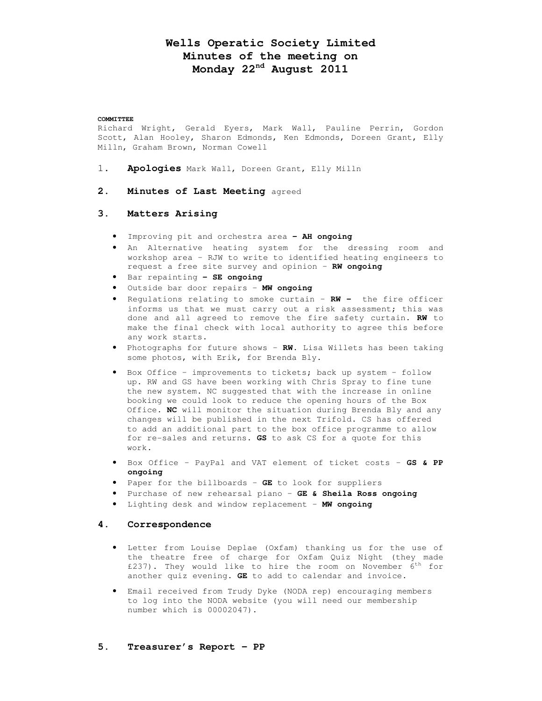# **Wells Operatic Society Limited Minutes of the meeting on Monday 22nd August 2011**

#### **COMMITTEE**

Richard Wright, Gerald Eyers, Mark Wall, Pauline Perrin, Gordon Scott, Alan Hooley, Sharon Edmonds, Ken Edmonds, Doreen Grant, Elly Milln, Graham Brown, Norman Cowell

- 1. **Apologies** Mark Wall, Doreen Grant, Elly Milln
- **2. Minutes of Last Meeting** agreed

## **3. Matters Arising**

- Improving pit and orchestra area **– AH ongoing**
- An Alternative heating system for the dressing room and workshop area – RJW to write to identified heating engineers to request a free site survey and opinion – **RW ongoing**
- Bar repainting **– SE ongoing**
- Outside bar door repairs **MW ongoing**
- Regulations relating to smoke curtain **RW** the fire officer informs us that we must carry out a risk assessment; this was done and all agreed to remove the fire safety curtain. **RW** to make the final check with local authority to agree this before any work starts.
- Photographs for future shows **RW.** Lisa Willets has been taking some photos, with Erik, for Brenda Bly.
- Box Office improvements to tickets; back up system follow up. RW and GS have been working with Chris Spray to fine tune the new system. NC suggested that with the increase in online booking we could look to reduce the opening hours of the Box Office. **NC** will monitor the situation during Brenda Bly and any changes will be published in the next Trifold. CS has offered to add an additional part to the box office programme to allow for re-sales and returns. **GS** to ask CS for a quote for this work.
- Box Office PayPal and VAT element of ticket costs **GS & PP ongoing**
- Paper for the billboards **GE** to look for suppliers
- Purchase of new rehearsal piano **GE & Sheila Ross ongoing**
- Lighting desk and window replacement **MW ongoing**

#### **4. Correspondence**

- Letter from Louise Deplae (Oxfam) thanking us for the use of the theatre free of charge for Oxfam Quiz Night (they made £237). They would like to hire the room on November  $6^{th}$  for another quiz evening. **GE** to add to calendar and invoice.
- Email received from Trudy Dyke (NODA rep) encouraging members to log into the NODA website (you will need our membership number which is 00002047).
- **5. Treasurer's Report PP**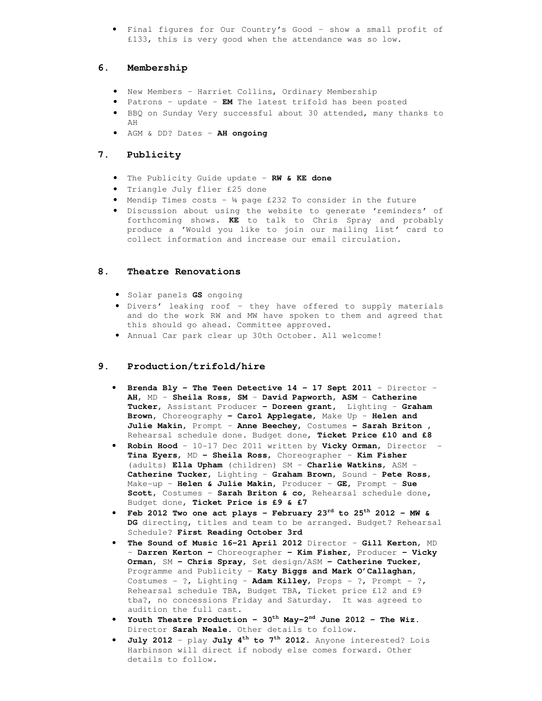• Final figures for Our Country's Good – show a small profit of £133, this is very good when the attendance was so low.

# **6. Membership**

- New Members Harriet Collins, Ordinary Membership
- Patrons update **EM** The latest trifold has been posted
- BBQ on Sunday Very successful about 30 attended, many thanks to AH
- AGM & DD? Dates **AH ongoing**

# **7. Publicity**

- The Publicity Guide update **RW & KE done**
- Triangle July flier £25 done
- Mendip Times costs ¼ page £232 To consider in the future
- Discussion about using the website to generate 'reminders' of forthcoming shows. **KE** to talk to Chris Spray and probably produce a 'Would you like to join our mailing list' card to collect information and increase our email circulation.

## **8. Theatre Renovations**

- Solar panels **GS** ongoing
- Divers' leaking roof they have offered to supply materials and do the work RW and MW have spoken to them and agreed that this should go ahead. Committee approved.
- Annual Car park clear up 30th October. All welcome!

## **9. Production/trifold/hire**

- **Brenda Bly The Teen Detective 14 17 Sept 2011**  Director **AH**, MD – **Sheila Ross, SM** – **David Papworth, ASM** – **Catherine Tucker,** Assistant Producer **– Doreen grant,** Lighting – **Graham Brown,** Choreography **– Carol Applegate,** Make Up – **Helen and Julie Makin,** Prompt – **Anne Beechey,** Costumes **– Sarah Briton ,**  Rehearsal schedule done. Budget done, **Ticket Price £10 and £8**
- **Robin Hood**  10-17 Dec 2011 written by **Vicky Orman**, Director **Tina Eyers**, MD **– Sheila Ross**, Choreographer – **Kim Fisher**  (adults) **Ella Upham** (children) SM – **Charlie Watkins**, ASM – **Catherine Tucker,** Lighting – **Graham Brown**, Sound – **Pete Ross**, Make-up – **Helen & Julie Makin,** Producer – **GE,** Prompt – **Sue Scott**, Costumes – **Sarah Briton & co,** Rehearsal schedule done, Budget done, **Ticket Price is £9 & £7**
- **Feb 2012 Two one act plays February 23rd to 25th 2012 MW & DG** directing, titles and team to be arranged. Budget? Rehearsal Schedule? **First Reading October 3rd**
- **The Sound of Music 16-21 April 2012** Director **Gill Kerton**, MD – **Darren Kerton –** Choreographer **– Kim Fisher,** Producer **– Vicky Orman,** SM **– Chris Spray,** Set design/ASM **– Catherine Tucker,**  Programme and Publicity – **Katy Biggs and Mark O'Callaghan,**  Costumes - ?, Lighting – **Adam Killey**, Props - ?, Prompt - ?, Rehearsal schedule TBA, Budget TBA, Ticket price £12 and £9 tba?, no concessions Friday and Saturday. It was agreed to audition the full cast.
- **Youth Theatre Production 30th May-2nd June 2012 The Wiz.**  Director **Sarah Neale.** Other details to follow.
- **July 2012** play **July 4th to 7th 2012**. Anyone interested? Lois Harbinson will direct if nobody else comes forward. Other details to follow.